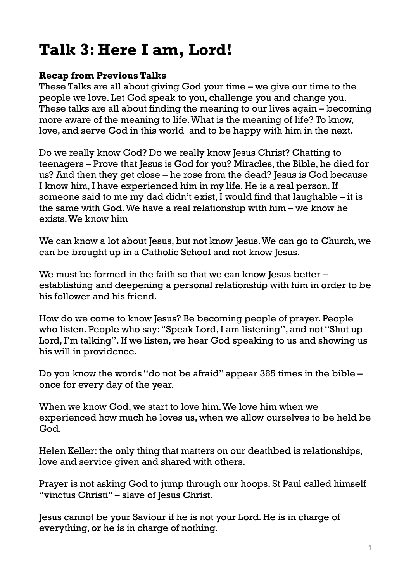# **Talk 3: Here I am, Lord!**

## **Recap from Previous Talks**

These Talks are all about giving God your time – we give our time to the people we love. Let God speak to you, challenge you and change you. These talks are all about finding the meaning to our lives again – becoming more aware of the meaning to life. What is the meaning of life? To know, love, and serve God in this world and to be happy with him in the next.

Do we really know God? Do we really know Jesus Christ? Chatting to teenagers – Prove that Jesus is God for you? Miracles, the Bible, he died for us? And then they get close – he rose from the dead? Jesus is God because I know him, I have experienced him in my life. He is a real person. If someone said to me my dad didn't exist, I would find that laughable – it is the same with God. We have a real relationship with him – we know he exists. We know him

We can know a lot about Jesus, but not know Jesus. We can go to Church, we can be brought up in a Catholic School and not know Jesus.

We must be formed in the faith so that we can know Jesus better – establishing and deepening a personal relationship with him in order to be his follower and his friend.

How do we come to know Jesus? Be becoming people of prayer. People who listen. People who say: "Speak Lord, I am listening", and not "Shut up Lord, I'm talking". If we listen, we hear God speaking to us and showing us his will in providence.

Do you know the words "do not be afraid" appear 365 times in the bible – once for every day of the year.

When we know God, we start to love him. We love him when we experienced how much he loves us, when we allow ourselves to be held be God.

Helen Keller: the only thing that matters on our deathbed is relationships, love and service given and shared with others.

Prayer is not asking God to jump through our hoops. St Paul called himself "vinctus Christi" – slave of Jesus Christ.

Jesus cannot be your Saviour if he is not your Lord. He is in charge of everything, or he is in charge of nothing.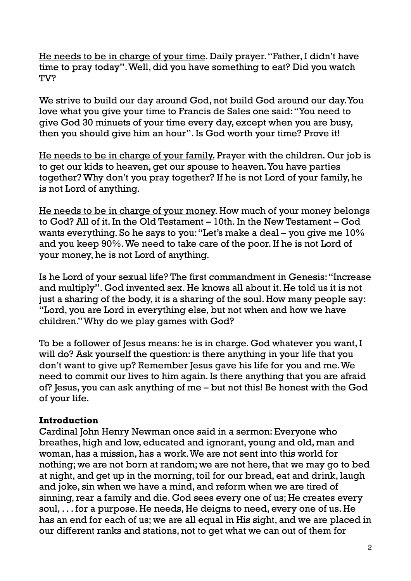He needs to be in charge of your time. Daily prayer. "Father, I didn't have time to pray today". Well, did you have something to eat? Did you watch TV?

We strive to build our day around God, not build God around our day. You love what you give your time to Francis de Sales one said: "You need to give God 30 minuets of your time every day, except when you are busy, then you should give him an hour". Is God worth your time? Prove it!

He needs to be in charge of your family. Prayer with the children. Our job is to get our kids to heaven, get our spouse to heaven. You have parties together? Why don't you pray together? If he is not Lord of your family, he is not Lord of anything.

He needs to be in charge of your money. How much of your money belongs to God? All of it. In the Old Testament – 10th. In the New Testament – God wants everything. So he says to you: "Let's make a deal – you give me 10% and you keep 90%. We need to take care of the poor. If he is not Lord of your money, he is not Lord of anything.

Is he Lord of your sexual life? The first commandment in Genesis: "Increase and multiply". God invented sex. He knows all about it. He told us it is not just a sharing of the body, it is a sharing of the soul. How many people say: "Lord, you are Lord in everything else, but not when and how we have children." Why do we play games with God?

To be a follower of Jesus means: he is in charge. God whatever you want, I will do? Ask yourself the question: is there anything in your life that you don't want to give up? Remember Jesus gave his life for you and me. We need to commit our lives to him again. Is there anything that you are afraid of? Jesus, you can ask anything of me – but not this! Be honest with the God of your life.

### **Introduction**

Cardinal John Henry Newman once said in a sermon: Everyone who breathes, high and low, educated and ignorant, young and old, man and woman, has a mission, has a work. We are not sent into this world for nothing; we are not born at random; we are not here, that we may go to bed at night, and get up in the morning, toil for our bread, eat and drink, laugh and joke, sin when we have a mind, and reform when we are tired of sinning, rear a family and die. God sees every one of us; He creates every soul, . . . for a purpose. He needs, He deigns to need, every one of us. He has an end for each of us; we are all equal in His sight, and we are placed in our different ranks and stations, not to get what we can out of them for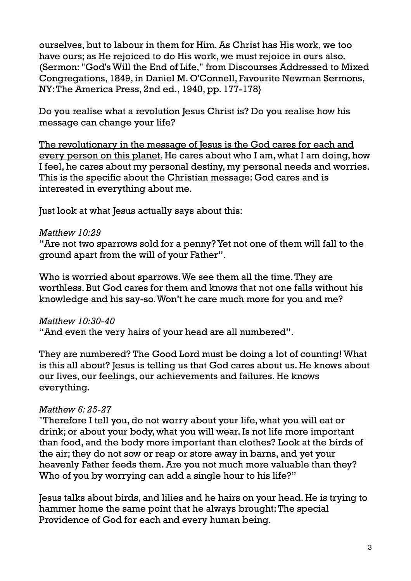ourselves, but to labour in them for Him. As Christ has His work, we too have ours; as He rejoiced to do His work, we must rejoice in ours also. (Sermon: "God's Will the End of Life," from Discourses Addressed to Mixed Congregations, 1849, in Daniel M. O'Connell, Favourite Newman Sermons, NY: The America Press, 2nd ed., 1940, pp. 177-178}

Do you realise what a revolution Jesus Christ is? Do you realise how his message can change your life?

The revolutionary in the message of Jesus is the God cares for each and every person on this planet. He cares about who I am, what I am doing, how I feel, he cares about my personal destiny, my personal needs and worries. This is the specific about the Christian message: God cares and is interested in everything about me.

Just look at what Jesus actually says about this:

## *Matthew 10:29*

"Are not two sparrows sold for a penny? Yet not one of them will fall to the ground apart from the will of your Father".

Who is worried about sparrows. We see them all the time. They are worthless. But God cares for them and knows that not one falls without his knowledge and his say-so. Won't he care much more for you and me?

### *Matthew 10:30-40*

"And even the very hairs of your head are all numbered".

They are numbered? The Good Lord must be doing a lot of counting! What is this all about? Jesus is telling us that God cares about us. He knows about our lives, our feelings, our achievements and failures. He knows everything.

## *Matthew 6: 25-27*

"Therefore I tell you, do not worry about your life, what you will eat or drink; or about your body, what you will wear. Is not life more important than food, and the body more important than clothes? Look at the birds of the air; they do not sow or reap or store away in barns, and yet your heavenly Father feeds them. Are you not much more valuable than they? Who of you by worrying can add a single hour to his life?"

Jesus talks about birds, and lilies and he hairs on your head. He is trying to hammer home the same point that he always brought: The special Providence of God for each and every human being.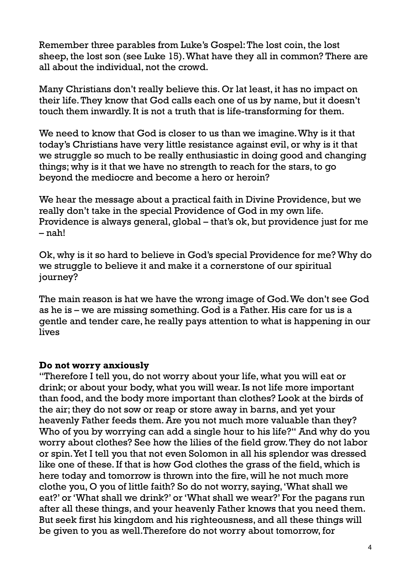Remember three parables from Luke's Gospel: The lost coin, the lost sheep, the lost son (see Luke 15). What have they all in common? There are all about the individual, not the crowd.

Many Christians don't really believe this. Or lat least, it has no impact on their life. They know that God calls each one of us by name, but it doesn't touch them inwardly. It is not a truth that is life-transforming for them.

We need to know that God is closer to us than we imagine. Why is it that today's Christians have very little resistance against evil, or why is it that we struggle so much to be really enthusiastic in doing good and changing things; why is it that we have no strength to reach for the stars, to go beyond the mediocre and become a hero or heroin?

We hear the message about a practical faith in Divine Providence, but we really don't take in the special Providence of God in my own life. Providence is always general, global – that's ok, but providence just for me – nah!

Ok, why is it so hard to believe in God's special Providence for me? Why do we struggle to believe it and make it a cornerstone of our spiritual journey?

The main reason is hat we have the wrong image of God. We don't see God as he is – we are missing something. God is a Father. His care for us is a gentle and tender care, he really pays attention to what is happening in our lives

## **Do not worry anxiously**

"Therefore I tell you, do not worry about your life, what you will eat or drink; or about your body, what you will wear. Is not life more important than food, and the body more important than clothes? Look at the birds of the air; they do not sow or reap or store away in barns, and yet your heavenly Father feeds them. Are you not much more valuable than they? Who of you by worrying can add a single hour to his life?" And why do you worry about clothes? See how the lilies of the field grow. They do not labor or spin. Yet I tell you that not even Solomon in all his splendor was dressed like one of these. If that is how God clothes the grass of the field, which is here today and tomorrow is thrown into the fire, will he not much more clothe you, O you of little faith? So do not worry, saying, 'What shall we eat?' or 'What shall we drink?' or 'What shall we wear?' For the pagans run after all these things, and your heavenly Father knows that you need them. But seek first his kingdom and his righteousness, and all these things will be given to you as well.Therefore do not worry about tomorrow, for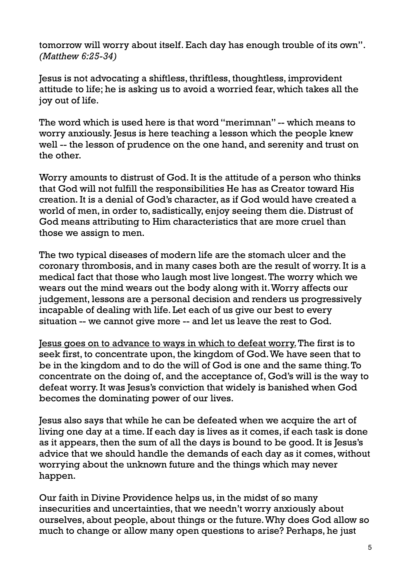tomorrow will worry about itself. Each day has enough trouble of its own". *(Matthew 6:25-34)*

Jesus is not advocating a shiftless, thriftless, thoughtless, improvident attitude to life; he is asking us to avoid a worried fear, which takes all the joy out of life.

The word which is used here is that word "merimnan" -- which means to worry anxiously. Jesus is here teaching a lesson which the people knew well -- the lesson of prudence on the one hand, and serenity and trust on the other.

Worry amounts to distrust of God. It is the attitude of a person who thinks that God will not fulfill the responsibilities He has as Creator toward His creation. It is a denial of God's character, as if God would have created a world of men, in order to, sadistically, enjoy seeing them die. Distrust of God means attributing to Him characteristics that are more cruel than those we assign to men.

The two typical diseases of modern life are the stomach ulcer and the coronary thrombosis, and in many cases both are the result of worry. It is a medical fact that those who laugh most live longest. The worry which we wears out the mind wears out the body along with it. Worry affects our judgement, lessons are a personal decision and renders us progressively incapable of dealing with life. Let each of us give our best to every situation -- we cannot give more -- and let us leave the rest to God.

Jesus goes on to advance to ways in which to defeat worry. The first is to seek first, to concentrate upon, the kingdom of God. We have seen that to be in the kingdom and to do the will of God is one and the same thing. To concentrate on the doing of, and the acceptance of, God's will is the way to defeat worry. It was Jesus's conviction that widely is banished when God becomes the dominating power of our lives.

Jesus also says that while he can be defeated when we acquire the art of living one day at a time. If each day is lives as it comes, if each task is done as it appears, then the sum of all the days is bound to be good. It is Jesus's advice that we should handle the demands of each day as it comes, without worrying about the unknown future and the things which may never happen.

Our faith in Divine Providence helps us, in the midst of so many insecurities and uncertainties, that we needn't worry anxiously about ourselves, about people, about things or the future. Why does God allow so much to change or allow many open questions to arise? Perhaps, he just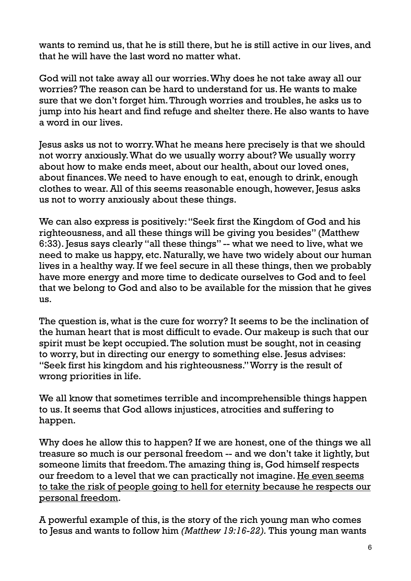wants to remind us, that he is still there, but he is still active in our lives, and that he will have the last word no matter what.

God will not take away all our worries. Why does he not take away all our worries? The reason can be hard to understand for us. He wants to make sure that we don't forget him. Through worries and troubles, he asks us to jump into his heart and find refuge and shelter there. He also wants to have a word in our lives.

Jesus asks us not to worry. What he means here precisely is that we should not worry anxiously. What do we usually worry about? We usually worry about how to make ends meet, about our health, about our loved ones, about finances. We need to have enough to eat, enough to drink, enough clothes to wear. All of this seems reasonable enough, however, Jesus asks us not to worry anxiously about these things.

We can also express is positively: "Seek first the Kingdom of God and his righteousness, and all these things will be giving you besides" (Matthew 6:33). Jesus says clearly "all these things" -- what we need to live, what we need to make us happy, etc. Naturally, we have two widely about our human lives in a healthy way. If we feel secure in all these things, then we probably have more energy and more time to dedicate ourselves to God and to feel that we belong to God and also to be available for the mission that he gives us.

The question is, what is the cure for worry? It seems to be the inclination of the human heart that is most difficult to evade. Our makeup is such that our spirit must be kept occupied. The solution must be sought, not in ceasing to worry, but in directing our energy to something else. Jesus advises: "Seek first his kingdom and his righteousness." Worry is the result of wrong priorities in life.

We all know that sometimes terrible and incomprehensible things happen to us. It seems that God allows injustices, atrocities and suffering to happen.

Why does he allow this to happen? If we are honest, one of the things we all treasure so much is our personal freedom -- and we don't take it lightly, but someone limits that freedom. The amazing thing is, God himself respects our freedom to a level that we can practically not imagine. He even seems to take the risk of people going to hell for eternity because he respects our personal freedom.

A powerful example of this, is the story of the rich young man who comes to Jesus and wants to follow him *(Matthew 19:16-22).* This young man wants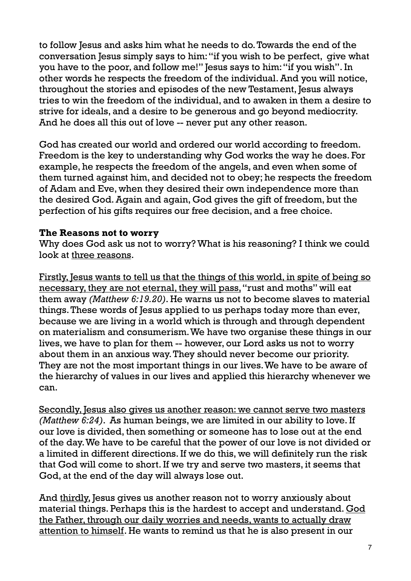to follow Jesus and asks him what he needs to do. Towards the end of the conversation Jesus simply says to him: "if you wish to be perfect, give what you have to the poor, and follow me!" Jesus says to him: "if you wish". In other words he respects the freedom of the individual. And you will notice, throughout the stories and episodes of the new Testament, Jesus always tries to win the freedom of the individual, and to awaken in them a desire to strive for ideals, and a desire to be generous and go beyond mediocrity. And he does all this out of love -- never put any other reason.

God has created our world and ordered our world according to freedom. Freedom is the key to understanding why God works the way he does. For example, he respects the freedom of the angels, and even when some of them turned against him, and decided not to obey; he respects the freedom of Adam and Eve, when they desired their own independence more than the desired God. Again and again, God gives the gift of freedom, but the perfection of his gifts requires our free decision, and a free choice.

## **The Reasons not to worry**

Why does God ask us not to worry? What is his reasoning? I think we could look at three reasons.

Firstly, Jesus wants to tell us that the things of this world, in spite of being so necessary, they are not eternal, they will pass, "rust and moths" will eat them away *(Matthew 6:19.20)*. He warns us not to become slaves to material things. These words of Jesus applied to us perhaps today more than ever, because we are living in a world which is through and through dependent on materialism and consumerism. We have two organise these things in our lives, we have to plan for them -- however, our Lord asks us not to worry about them in an anxious way. They should never become our priority. They are not the most important things in our lives. We have to be aware of the hierarchy of values in our lives and applied this hierarchy whenever we can.

Secondly, Jesus also gives us another reason: we cannot serve two masters *(Matthew 6:24)*. As human beings, we are limited in our ability to love. If our love is divided, then something or someone has to lose out at the end of the day. We have to be careful that the power of our love is not divided or a limited in different directions. If we do this, we will definitely run the risk that God will come to short. If we try and serve two masters, it seems that God, at the end of the day will always lose out.

And thirdly, Jesus gives us another reason not to worry anxiously about material things. Perhaps this is the hardest to accept and understand. God the Father, through our daily worries and needs, wants to actually draw attention to himself. He wants to remind us that he is also present in our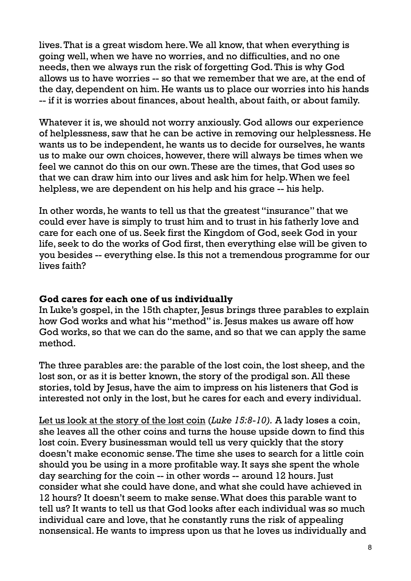lives. That is a great wisdom here. We all know, that when everything is going well, when we have no worries, and no difficulties, and no one needs, then we always run the risk of forgetting God. This is why God allows us to have worries -- so that we remember that we are, at the end of the day, dependent on him. He wants us to place our worries into his hands -- if it is worries about finances, about health, about faith, or about family.

Whatever it is, we should not worry anxiously. God allows our experience of helplessness, saw that he can be active in removing our helplessness. He wants us to be independent, he wants us to decide for ourselves, he wants us to make our own choices, however, there will always be times when we feel we cannot do this on our own. These are the times, that God uses so that we can draw him into our lives and ask him for help. When we feel helpless, we are dependent on his help and his grace -- his help.

In other words, he wants to tell us that the greatest "insurance" that we could ever have is simply to trust him and to trust in his fatherly love and care for each one of us. Seek first the Kingdom of God, seek God in your life, seek to do the works of God first, then everything else will be given to you besides -- everything else. Is this not a tremendous programme for our lives faith?

### **God cares for each one of us individually**

In Luke's gospel, in the 15th chapter, Jesus brings three parables to explain how God works and what his "method" is. Jesus makes us aware off how God works, so that we can do the same, and so that we can apply the same method.

The three parables are: the parable of the lost coin, the lost sheep, and the lost son, or as it is better known, the story of the prodigal son. All these stories, told by Jesus, have the aim to impress on his listeners that God is interested not only in the lost, but he cares for each and every individual.

Let us look at the story of the lost coin (*Luke 15:8-10).* A lady loses a coin, she leaves all the other coins and turns the house upside down to find this lost coin. Every businessman would tell us very quickly that the story doesn't make economic sense. The time she uses to search for a little coin should you be using in a more profitable way. It says she spent the whole day searching for the coin -- in other words -- around 12 hours. Just consider what she could have done, and what she could have achieved in 12 hours? It doesn't seem to make sense. What does this parable want to tell us? It wants to tell us that God looks after each individual was so much individual care and love, that he constantly runs the risk of appealing nonsensical. He wants to impress upon us that he loves us individually and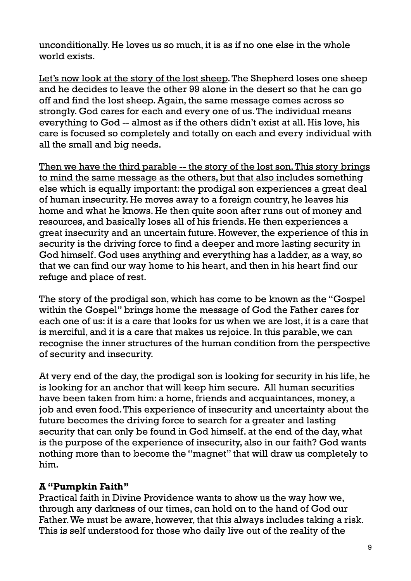unconditionally. He loves us so much, it is as if no one else in the whole world exists.

Let's now look at the story of the lost sheep. The Shepherd loses one sheep and he decides to leave the other 99 alone in the desert so that he can go off and find the lost sheep. Again, the same message comes across so strongly. God cares for each and every one of us. The individual means everything to God -- almost as if the others didn't exist at all. His love, his care is focused so completely and totally on each and every individual with all the small and big needs.

Then we have the third parable -- the story of the lost son. This story brings to mind the same message as the others, but that also includes something else which is equally important: the prodigal son experiences a great deal of human insecurity. He moves away to a foreign country, he leaves his home and what he knows. He then quite soon after runs out of money and resources, and basically loses all of his friends. He then experiences a great insecurity and an uncertain future. However, the experience of this in security is the driving force to find a deeper and more lasting security in God himself. God uses anything and everything has a ladder, as a way, so that we can find our way home to his heart, and then in his heart find our refuge and place of rest.

The story of the prodigal son, which has come to be known as the "Gospel within the Gospel" brings home the message of God the Father cares for each one of us: it is a care that looks for us when we are lost, it is a care that is merciful, and it is a care that makes us rejoice. In this parable, we can recognise the inner structures of the human condition from the perspective of security and insecurity.

At very end of the day, the prodigal son is looking for security in his life, he is looking for an anchor that will keep him secure. All human securities have been taken from him: a home, friends and acquaintances, money, a job and even food. This experience of insecurity and uncertainty about the future becomes the driving force to search for a greater and lasting security that can only be found in God himself. at the end of the day, what is the purpose of the experience of insecurity, also in our faith? God wants nothing more than to become the "magnet" that will draw us completely to him.

## **A "Pumpkin Faith"**

Practical faith in Divine Providence wants to show us the way how we, through any darkness of our times, can hold on to the hand of God our Father. We must be aware, however, that this always includes taking a risk. This is self understood for those who daily live out of the reality of the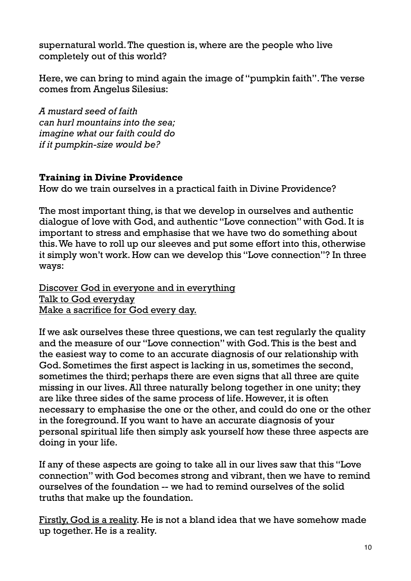supernatural world. The question is, where are the people who live completely out of this world?

Here, we can bring to mind again the image of "pumpkin faith". The verse comes from Angelus Silesius:

*A mustard seed of faith can hurl mountains into the sea; imagine what our faith could do if it pumpkin-size would be?*

## **Training in Divine Providence**

How do we train ourselves in a practical faith in Divine Providence?

The most important thing, is that we develop in ourselves and authentic dialogue of love with God, and authentic "Love connection" with God. It is important to stress and emphasise that we have two do something about this. We have to roll up our sleeves and put some effort into this, otherwise it simply won't work. How can we develop this "Love connection"? In three ways:

Discover God in everyone and in everything Talk to God everyday Make a sacrifice for God every day.

If we ask ourselves these three questions, we can test regularly the quality and the measure of our "Love connection" with God. This is the best and the easiest way to come to an accurate diagnosis of our relationship with God. Sometimes the first aspect is lacking in us, sometimes the second, sometimes the third; perhaps there are even signs that all three are quite missing in our lives. All three naturally belong together in one unity; they are like three sides of the same process of life. However, it is often necessary to emphasise the one or the other, and could do one or the other in the foreground. If you want to have an accurate diagnosis of your personal spiritual life then simply ask yourself how these three aspects are doing in your life.

If any of these aspects are going to take all in our lives saw that this "Love connection" with God becomes strong and vibrant, then we have to remind ourselves of the foundation -- we had to remind ourselves of the solid truths that make up the foundation.

Firstly, God is a reality. He is not a bland idea that we have somehow made up together. He is a reality.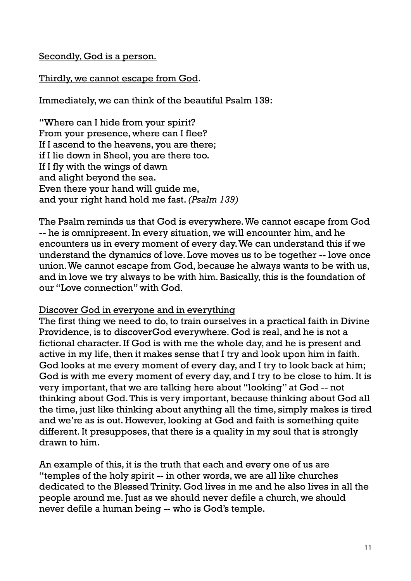### Secondly, God is a person.

## Thirdly, we cannot escape from God.

Immediately, we can think of the beautiful Psalm 139:

"Where can I hide from your spirit? From your presence, where can I flee? If I ascend to the heavens, you are there; if I lie down in Sheol, you are there too. If I fly with the wings of dawn and alight beyond the sea. Even there your hand will guide me, and your right hand hold me fast. *(Psalm 139)*

The Psalm reminds us that God is everywhere. We cannot escape from God -- he is omnipresent. In every situation, we will encounter him, and he encounters us in every moment of every day. We can understand this if we understand the dynamics of love. Love moves us to be together -- love once union. We cannot escape from God, because he always wants to be with us, and in love we try always to be with him. Basically, this is the foundation of our "Love connection" with God.

### Discover God in everyone and in everything

The first thing we need to do, to train ourselves in a practical faith in Divine Providence, is to discoverGod everywhere. God is real, and he is not a fictional character. If God is with me the whole day, and he is present and active in my life, then it makes sense that I try and look upon him in faith. God looks at me every moment of every day, and I try to look back at him; God is with me every moment of every day, and I try to be close to him. It is very important, that we are talking here about "looking" at God -- not thinking about God. This is very important, because thinking about God all the time, just like thinking about anything all the time, simply makes is tired and we're as is out. However, looking at God and faith is something quite different. It presupposes, that there is a quality in my soul that is strongly drawn to him.

An example of this, it is the truth that each and every one of us are "temples of the holy spirit -- in other words, we are all like churches dedicated to the Blessed Trinity. God lives in me and he also lives in all the people around me. Just as we should never defile a church, we should never defile a human being -- who is God's temple.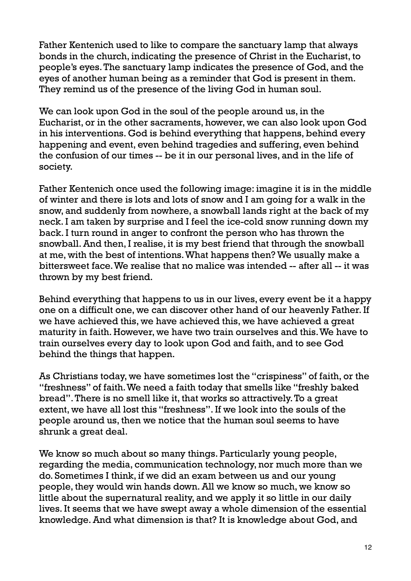Father Kentenich used to like to compare the sanctuary lamp that always bonds in the church, indicating the presence of Christ in the Eucharist, to people's eyes. The sanctuary lamp indicates the presence of God, and the eyes of another human being as a reminder that God is present in them. They remind us of the presence of the living God in human soul.

We can look upon God in the soul of the people around us, in the Eucharist, or in the other sacraments, however, we can also look upon God in his interventions. God is behind everything that happens, behind every happening and event, even behind tragedies and suffering, even behind the confusion of our times -- be it in our personal lives, and in the life of society.

Father Kentenich once used the following image: imagine it is in the middle of winter and there is lots and lots of snow and I am going for a walk in the snow, and suddenly from nowhere, a snowball lands right at the back of my neck. I am taken by surprise and I feel the ice-cold snow running down my back. I turn round in anger to confront the person who has thrown the snowball. And then, I realise, it is my best friend that through the snowball at me, with the best of intentions. What happens then? We usually make a bittersweet face. We realise that no malice was intended -- after all -- it was thrown by my best friend.

Behind everything that happens to us in our lives, every event be it a happy one on a difficult one, we can discover other hand of our heavenly Father. If we have achieved this, we have achieved this, we have achieved a great maturity in faith. However, we have two train ourselves and this. We have to train ourselves every day to look upon God and faith, and to see God behind the things that happen.

As Christians today, we have sometimes lost the "crispiness" of faith, or the "freshness" of faith. We need a faith today that smells like "freshly baked bread". There is no smell like it, that works so attractively. To a great extent, we have all lost this "freshness". If we look into the souls of the people around us, then we notice that the human soul seems to have shrunk a great deal.

We know so much about so many things. Particularly young people, regarding the media, communication technology, nor much more than we do. Sometimes I think, if we did an exam between us and our young people, they would win hands down. All we know so much, we know so little about the supernatural reality, and we apply it so little in our daily lives. It seems that we have swept away a whole dimension of the essential knowledge. And what dimension is that? It is knowledge about God, and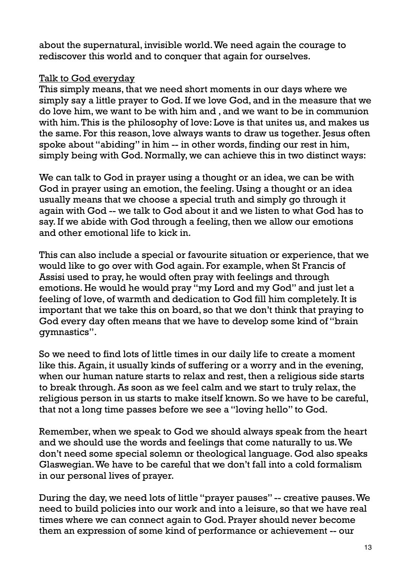about the supernatural, invisible world. We need again the courage to rediscover this world and to conquer that again for ourselves.

## Talk to God everyday

This simply means, that we need short moments in our days where we simply say a little prayer to God. If we love God, and in the measure that we do love him, we want to be with him and , and we want to be in communion with him. This is the philosophy of love: Love is that unites us, and makes us the same. For this reason, love always wants to draw us together. Jesus often spoke about "abiding" in him -- in other words, finding our rest in him, simply being with God. Normally, we can achieve this in two distinct ways:

We can talk to God in prayer using a thought or an idea, we can be with God in prayer using an emotion, the feeling. Using a thought or an idea usually means that we choose a special truth and simply go through it again with God -- we talk to God about it and we listen to what God has to say. If we abide with God through a feeling, then we allow our emotions and other emotional life to kick in.

This can also include a special or favourite situation or experience, that we would like to go over with God again. For example, when St Francis of Assisi used to pray, he would often pray with feelings and through emotions. He would he would pray "my Lord and my God" and just let a feeling of love, of warmth and dedication to God fill him completely. It is important that we take this on board, so that we don't think that praying to God every day often means that we have to develop some kind of "brain gymnastics".

So we need to find lots of little times in our daily life to create a moment like this. Again, it usually kinds of suffering or a worry and in the evening, when our human nature starts to relax and rest, then a religious side starts to break through. As soon as we feel calm and we start to truly relax, the religious person in us starts to make itself known. So we have to be careful, that not a long time passes before we see a "loving hello" to God.

Remember, when we speak to God we should always speak from the heart and we should use the words and feelings that come naturally to us. We don't need some special solemn or theological language. God also speaks Glaswegian. We have to be careful that we don't fall into a cold formalism in our personal lives of prayer.

During the day, we need lots of little "prayer pauses" -- creative pauses. We need to build policies into our work and into a leisure, so that we have real times where we can connect again to God. Prayer should never become them an expression of some kind of performance or achievement -- our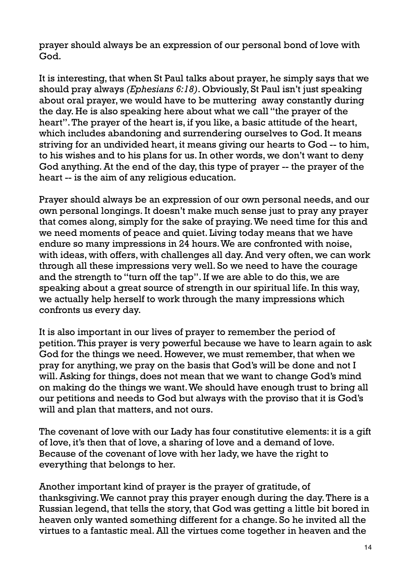prayer should always be an expression of our personal bond of love with God.

It is interesting, that when St Paul talks about prayer, he simply says that we should pray always *(Ephesians 6:18)*. Obviously, St Paul isn't just speaking about oral prayer, we would have to be muttering away constantly during the day. He is also speaking here about what we call "the prayer of the heart". The prayer of the heart is, if you like, a basic attitude of the heart, which includes abandoning and surrendering ourselves to God. It means striving for an undivided heart, it means giving our hearts to God -- to him, to his wishes and to his plans for us. In other words, we don't want to deny God anything. At the end of the day, this type of prayer -- the prayer of the heart -- is the aim of any religious education.

Prayer should always be an expression of our own personal needs, and our own personal longings. It doesn't make much sense just to pray any prayer that comes along, simply for the sake of praying. We need time for this and we need moments of peace and quiet. Living today means that we have endure so many impressions in 24 hours. We are confronted with noise, with ideas, with offers, with challenges all day. And very often, we can work through all these impressions very well. So we need to have the courage and the strength to "turn off the tap". If we are able to do this, we are speaking about a great source of strength in our spiritual life. In this way, we actually help herself to work through the many impressions which confronts us every day.

It is also important in our lives of prayer to remember the period of petition. This prayer is very powerful because we have to learn again to ask God for the things we need. However, we must remember, that when we pray for anything, we pray on the basis that God's will be done and not I will. Asking for things, does not mean that we want to change God's mind on making do the things we want. We should have enough trust to bring all our petitions and needs to God but always with the proviso that it is God's will and plan that matters, and not ours.

The covenant of love with our Lady has four constitutive elements: it is a gift of love, it's then that of love, a sharing of love and a demand of love. Because of the covenant of love with her lady, we have the right to everything that belongs to her.

Another important kind of prayer is the prayer of gratitude, of thanksgiving. We cannot pray this prayer enough during the day. There is a Russian legend, that tells the story, that God was getting a little bit bored in heaven only wanted something different for a change. So he invited all the virtues to a fantastic meal. All the virtues come together in heaven and the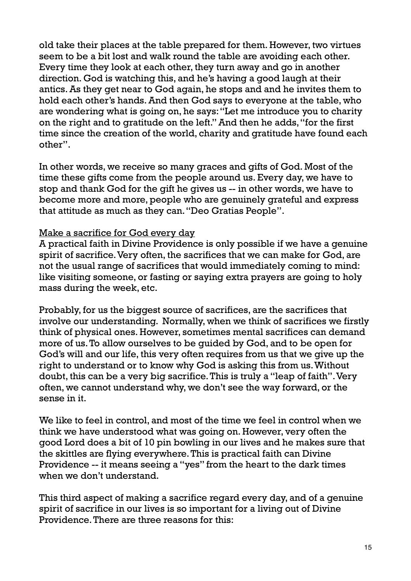old take their places at the table prepared for them. However, two virtues seem to be a bit lost and walk round the table are avoiding each other. Every time they look at each other, they turn away and go in another direction. God is watching this, and he's having a good laugh at their antics. As they get near to God again, he stops and and he invites them to hold each other's hands. And then God says to everyone at the table, who are wondering what is going on, he says: "Let me introduce you to charity on the right and to gratitude on the left." And then he adds, "for the first time since the creation of the world, charity and gratitude have found each other".

In other words, we receive so many graces and gifts of God. Most of the time these gifts come from the people around us. Every day, we have to stop and thank God for the gift he gives us -- in other words, we have to become more and more, people who are genuinely grateful and express that attitude as much as they can. "Deo Gratias People".

## Make a sacrifice for God every day

A practical faith in Divine Providence is only possible if we have a genuine spirit of sacrifice. Very often, the sacrifices that we can make for God, are not the usual range of sacrifices that would immediately coming to mind: like visiting someone, or fasting or saying extra prayers are going to holy mass during the week, etc.

Probably, for us the biggest source of sacrifices, are the sacrifices that involve our understanding. Normally, when we think of sacrifices we firstly think of physical ones. However, sometimes mental sacrifices can demand more of us. To allow ourselves to be guided by God, and to be open for God's will and our life, this very often requires from us that we give up the right to understand or to know why God is asking this from us. Without doubt, this can be a very big sacrifice. This is truly a "leap of faith". Very often, we cannot understand why, we don't see the way forward, or the sense in it.

We like to feel in control, and most of the time we feel in control when we think we have understood what was going on. However, very often the good Lord does a bit of 10 pin bowling in our lives and he makes sure that the skittles are flying everywhere. This is practical faith can Divine Providence -- it means seeing a "yes" from the heart to the dark times when we don't understand.

This third aspect of making a sacrifice regard every day, and of a genuine spirit of sacrifice in our lives is so important for a living out of Divine Providence. There are three reasons for this: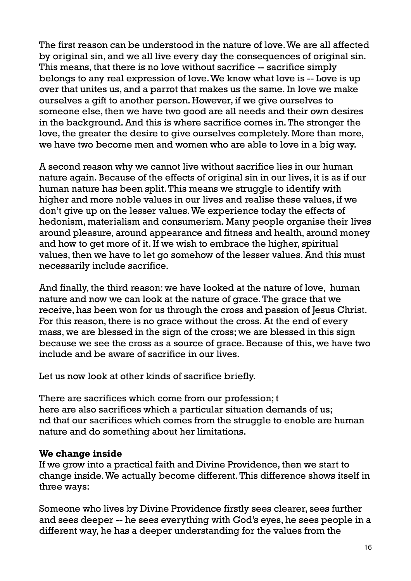The first reason can be understood in the nature of love. We are all affected by original sin, and we all live every day the consequences of original sin. This means, that there is no love without sacrifice -- sacrifice simply belongs to any real expression of love. We know what love is -- Love is up over that unites us, and a parrot that makes us the same. In love we make ourselves a gift to another person. However, if we give ourselves to someone else, then we have two good are all needs and their own desires in the background. And this is where sacrifice comes in. The stronger the love, the greater the desire to give ourselves completely. More than more, we have two become men and women who are able to love in a big way.

A second reason why we cannot live without sacrifice lies in our human nature again. Because of the effects of original sin in our lives, it is as if our human nature has been split. This means we struggle to identify with higher and more noble values in our lives and realise these values, if we don't give up on the lesser values. We experience today the effects of hedonism, materialism and consumerism. Many people organise their lives around pleasure, around appearance and fitness and health, around money and how to get more of it. If we wish to embrace the higher, spiritual values, then we have to let go somehow of the lesser values. And this must necessarily include sacrifice.

And finally, the third reason: we have looked at the nature of love, human nature and now we can look at the nature of grace. The grace that we receive, has been won for us through the cross and passion of Jesus Christ. For this reason, there is no grace without the cross. At the end of every mass, we are blessed in the sign of the cross; we are blessed in this sign because we see the cross as a source of grace. Because of this, we have two include and be aware of sacrifice in our lives.

Let us now look at other kinds of sacrifice briefly.

There are sacrifices which come from our profession; t here are also sacrifices which a particular situation demands of us; nd that our sacrifices which comes from the struggle to enoble are human nature and do something about her limitations.

## **We change inside**

If we grow into a practical faith and Divine Providence, then we start to change inside. We actually become different. This difference shows itself in three ways:

Someone who lives by Divine Providence firstly sees clearer, sees further and sees deeper -- he sees everything with God's eyes, he sees people in a different way, he has a deeper understanding for the values from the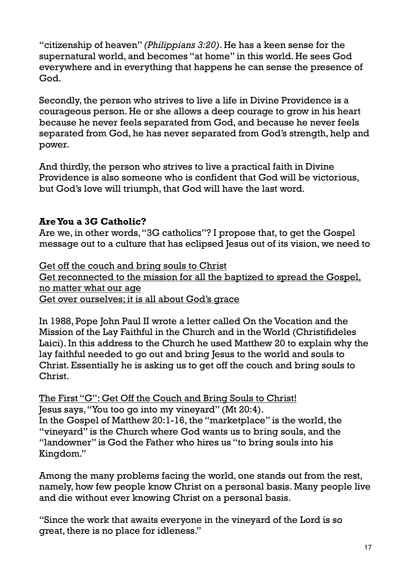"citizenship of heaven" *(Philippians 3:20)*. He has a keen sense for the supernatural world, and becomes "at home" in this world. He sees God everywhere and in everything that happens he can sense the presence of God.

Secondly, the person who strives to live a life in Divine Providence is a courageous person. He or she allows a deep courage to grow in his heart because he never feels separated from God, and because he never feels separated from God, he has never separated from God's strength, help and power.

And thirdly, the person who strives to live a practical faith in Divine Providence is also someone who is confident that God will be victorious, but God's love will triumph, that God will have the last word.

# **Are You a 3G Catholic?**

Are we, in other words, "3G catholics"? I propose that, to get the Gospel message out to a culture that has eclipsed Jesus out of its vision, we need to

Get off the couch and bring souls to Christ Get reconnected to the mission for all the baptized to spread the Gospel, no matter what our age Get over ourselves; it is all about God's grace

In 1988, Pope John Paul II wrote a letter called On the Vocation and the Mission of the Lay Faithful in the Church and in the World (Christifideles Laici). In this address to the Church he used Matthew 20 to explain why the lay faithful needed to go out and bring Jesus to the world and souls to Christ. Essentially he is asking us to get off the couch and bring souls to Christ.

The First "G": Get Off the Couch and Bring Souls to Christ! Jesus says, "You too go into my vineyard" (Mt 20:4). In the Gospel of Matthew 20:1-16, the "marketplace" is the world, the "vineyard" is the Church where God wants us to bring souls, and the "landowner" is God the Father who hires us "to bring souls into his Kingdom."

Among the many problems facing the world, one stands out from the rest, namely, how few people know Christ on a personal basis. Many people live and die without ever knowing Christ on a personal basis.

"Since the work that awaits everyone in the vineyard of the Lord is so great, there is no place for idleness."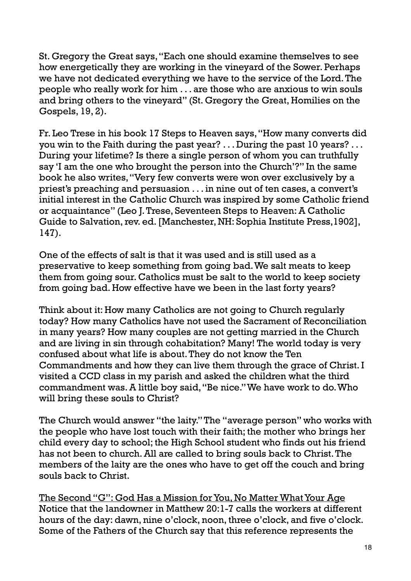St. Gregory the Great says, "Each one should examine themselves to see how energetically they are working in the vineyard of the Sower. Perhaps we have not dedicated everything we have to the service of the Lord. The people who really work for him . . . are those who are anxious to win souls and bring others to the vineyard" (St. Gregory the Great, Homilies on the Gospels, 19, 2).

Fr. Leo Trese in his book 17 Steps to Heaven says, "How many converts did you win to the Faith during the past year? . . . During the past 10 years? . . . During your lifetime? Is there a single person of whom you can truthfully say 'I am the one who brought the person into the Church'?" In the same book he also writes, "Very few converts were won over exclusively by a priest's preaching and persuasion . . . in nine out of ten cases, a convert's initial interest in the Catholic Church was inspired by some Catholic friend or acquaintance" (Leo J. Trese, Seventeen Steps to Heaven: A Catholic Guide to Salvation, rev. ed. [Manchester, NH: Sophia Institute Press,1902], 147).

One of the effects of salt is that it was used and is still used as a preservative to keep something from going bad. We salt meats to keep them from going sour. Catholics must be salt to the world to keep society from going bad. How effective have we been in the last forty years?

Think about it: How many Catholics are not going to Church regularly today? How many Catholics have not used the Sacrament of Reconciliation in many years? How many couples are not getting married in the Church and are living in sin through cohabitation? Many! The world today is very confused about what life is about. They do not know the Ten Commandments and how they can live them through the grace of Christ. I visited a CCD class in my parish and asked the children what the third commandment was. A little boy said, "Be nice." We have work to do. Who will bring these souls to Christ?

The Church would answer "the laity." The "average person" who works with the people who have lost touch with their faith; the mother who brings her child every day to school; the High School student who finds out his friend has not been to church. All are called to bring souls back to Christ. The members of the laity are the ones who have to get off the couch and bring souls back to Christ.

The Second "G": God Has a Mission for You, No Matter What Your Age Notice that the landowner in Matthew 20:1-7 calls the workers at different hours of the day: dawn, nine o'clock, noon, three o'clock, and five o'clock. Some of the Fathers of the Church say that this reference represents the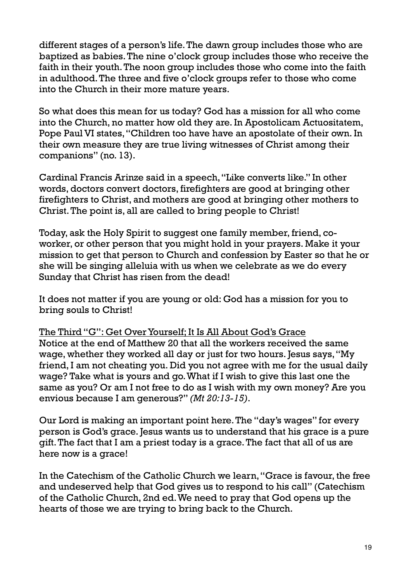different stages of a person's life. The dawn group includes those who are baptized as babies. The nine o'clock group includes those who receive the faith in their youth. The noon group includes those who come into the faith in adulthood. The three and five o'clock groups refer to those who come into the Church in their more mature years.

So what does this mean for us today? God has a mission for all who come into the Church, no matter how old they are. In Apostolicam Actuositatem, Pope Paul VI states, "Children too have have an apostolate of their own. In their own measure they are true living witnesses of Christ among their companions" (no. 13).

Cardinal Francis Arinze said in a speech, "Like converts like." In other words, doctors convert doctors, firefighters are good at bringing other firefighters to Christ, and mothers are good at bringing other mothers to Christ. The point is, all are called to bring people to Christ!

Today, ask the Holy Spirit to suggest one family member, friend, coworker, or other person that you might hold in your prayers. Make it your mission to get that person to Church and confession by Easter so that he or she will be singing alleluia with us when we celebrate as we do every Sunday that Christ has risen from the dead!

It does not matter if you are young or old: God has a mission for you to bring souls to Christ!

The Third "G": Get Over Yourself; It Is All About God's Grace Notice at the end of Matthew 20 that all the workers received the same wage, whether they worked all day or just for two hours. Jesus says, "My friend, I am not cheating you. Did you not agree with me for the usual daily wage? Take what is yours and go. What if I wish to give this last one the same as you? Or am I not free to do as I wish with my own money? Are you envious because I am generous?" *(Mt 20:13-15)*.

Our Lord is making an important point here. The "day's wages" for every person is God's grace. Jesus wants us to understand that his grace is a pure gift. The fact that I am a priest today is a grace. The fact that all of us are here now is a grace!

In the Catechism of the Catholic Church we learn, "Grace is favour, the free and undeserved help that God gives us to respond to his call" (Catechism of the Catholic Church, 2nd ed. We need to pray that God opens up the hearts of those we are trying to bring back to the Church.